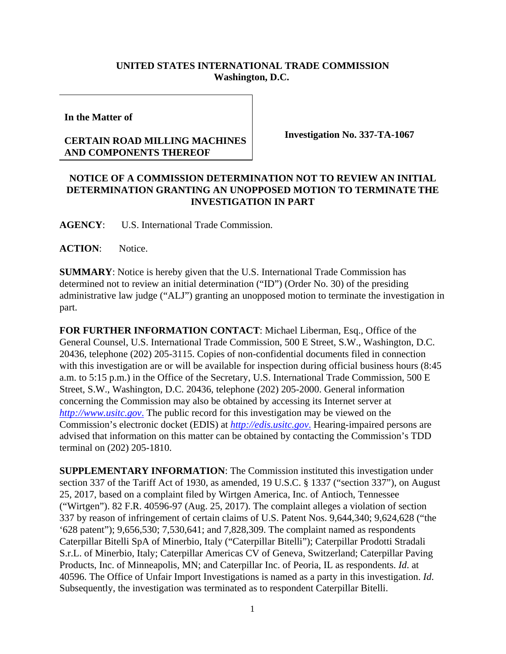## **UNITED STATES INTERNATIONAL TRADE COMMISSION Washington, D.C.**

**In the Matter of** 

## **CERTAIN ROAD MILLING MACHINES AND COMPONENTS THEREOF**

**Investigation No. 337-TA-1067** 

## **NOTICE OF A COMMISSION DETERMINATION NOT TO REVIEW AN INITIAL DETERMINATION GRANTING AN UNOPPOSED MOTION TO TERMINATE THE INVESTIGATION IN PART**

**AGENCY**: U.S. International Trade Commission.

**ACTION**: Notice.

**SUMMARY**: Notice is hereby given that the U.S. International Trade Commission has determined not to review an initial determination ("ID") (Order No. 30) of the presiding administrative law judge ("ALJ") granting an unopposed motion to terminate the investigation in part.

**FOR FURTHER INFORMATION CONTACT**: Michael Liberman, Esq., Office of the General Counsel, U.S. International Trade Commission, 500 E Street, S.W., Washington, D.C. 20436, telephone (202) 205-3115. Copies of non-confidential documents filed in connection with this investigation are or will be available for inspection during official business hours (8:45) a.m. to 5:15 p.m.) in the Office of the Secretary, U.S. International Trade Commission, 500 E Street, S.W., Washington, D.C. 20436, telephone (202) 205-2000. General information concerning the Commission may also be obtained by accessing its Internet server at *http://www.usitc.gov*. The public record for this investigation may be viewed on the Commission's electronic docket (EDIS) at *http://edis.usitc.gov*. Hearing-impaired persons are advised that information on this matter can be obtained by contacting the Commission's TDD terminal on (202) 205-1810.

**SUPPLEMENTARY INFORMATION**: The Commission instituted this investigation under section 337 of the Tariff Act of 1930, as amended, 19 U.S.C. § 1337 ("section 337"), on August 25, 2017, based on a complaint filed by Wirtgen America, Inc. of Antioch, Tennessee ("Wirtgen"). 82 F.R. 40596-97 (Aug. 25, 2017). The complaint alleges a violation of section 337 by reason of infringement of certain claims of U.S. Patent Nos. 9,644,340; 9,624,628 ("the '628 patent"); 9,656,530; 7,530,641; and 7,828,309. The complaint named as respondents Caterpillar Bitelli SpA of Minerbio, Italy ("Caterpillar Bitelli"); Caterpillar Prodotti Stradali S.r.L. of Minerbio, Italy; Caterpillar Americas CV of Geneva, Switzerland; Caterpillar Paving Products, Inc. of Minneapolis, MN; and Caterpillar Inc. of Peoria, IL as respondents. *Id*. at 40596. The Office of Unfair Import Investigations is named as a party in this investigation. *Id*. Subsequently, the investigation was terminated as to respondent Caterpillar Bitelli.